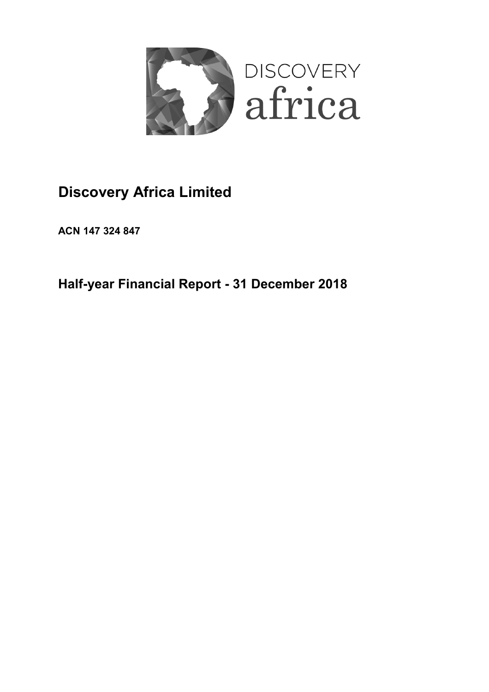

# **Discovery Africa Limited**

**ACN 147 324 847**

**Half-year Financial Report - 31 December 2018**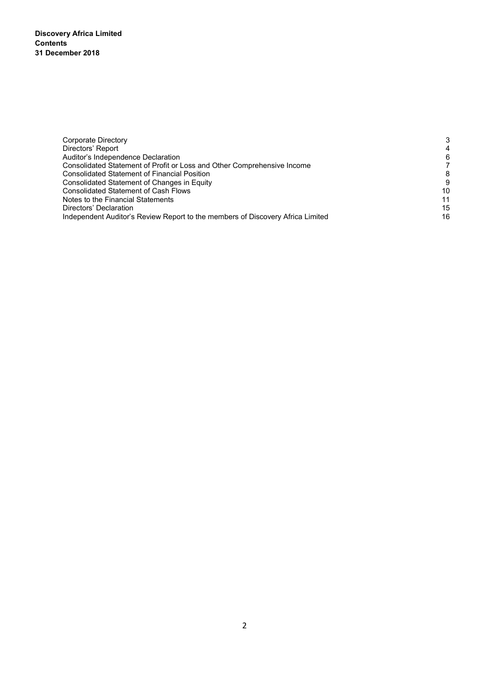**Discovery Africa Limited Contents 31 December 2018** 

| Corporate Directory                                                            | 3              |
|--------------------------------------------------------------------------------|----------------|
| Directors' Report                                                              | $\overline{4}$ |
| Auditor's Independence Declaration                                             | 6              |
| Consolidated Statement of Profit or Loss and Other Comprehensive Income        |                |
| Consolidated Statement of Financial Position                                   | 8              |
| Consolidated Statement of Changes in Equity                                    | 9              |
| <b>Consolidated Statement of Cash Flows</b>                                    | 10             |
| Notes to the Financial Statements                                              | 11             |
| Directors' Declaration                                                         | 15             |
| Independent Auditor's Review Report to the members of Discovery Africa Limited | 16             |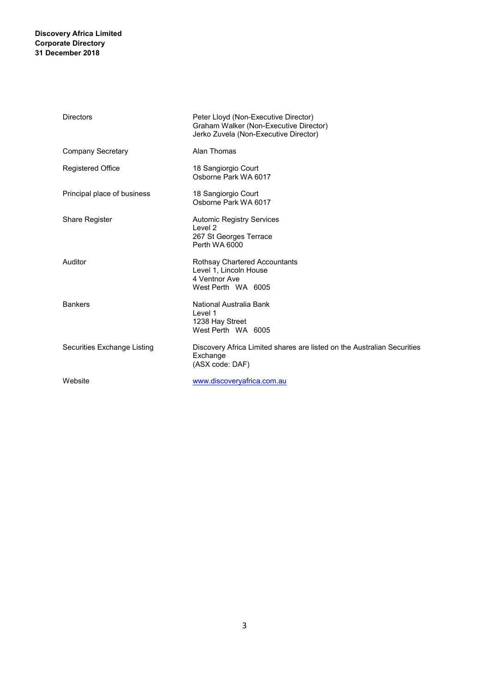## **Discovery Africa Limited Corporate Directory 31 December 2018**

| <b>Directors</b>            | Peter Lloyd (Non-Executive Director)<br>Graham Walker (Non-Executive Director)<br>Jerko Zuvela (Non-Executive Director) |
|-----------------------------|-------------------------------------------------------------------------------------------------------------------------|
| Company Secretary           | Alan Thomas                                                                                                             |
| <b>Registered Office</b>    | 18 Sangiorgio Court<br>Osborne Park WA 6017                                                                             |
| Principal place of business | 18 Sangiorgio Court<br>Osborne Park WA 6017                                                                             |
| <b>Share Register</b>       | <b>Automic Registry Services</b><br>Level 2<br>267 St Georges Terrace<br>Perth WA 6000                                  |
| Auditor                     | Rothsay Chartered Accountants<br>Level 1, Lincoln House<br>4 Ventnor Ave<br>West Perth WA 6005                          |
| <b>Bankers</b>              | National Australia Bank<br>Level 1<br>1238 Hay Street<br>West Perth WA 6005                                             |
| Securities Exchange Listing | Discovery Africa Limited shares are listed on the Australian Securities<br>Exchange<br>(ASX code: DAF)                  |
| Website                     | www.discoveryafrica.com.au                                                                                              |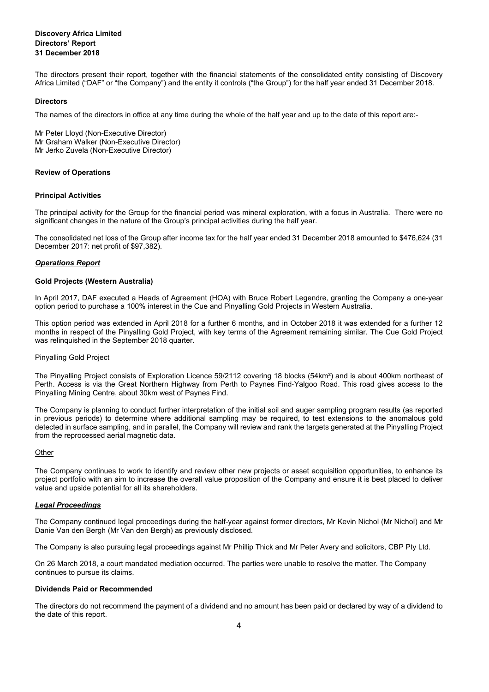## **Discovery Africa Limited Directors' Report 31 December 2018**

The directors present their report, together with the financial statements of the consolidated entity consisting of Discovery Africa Limited ("DAF" or "the Company") and the entity it controls ("the Group") for the half year ended 31 December 2018.

#### **Directors**

The names of the directors in office at any time during the whole of the half year and up to the date of this report are:-

Mr Peter Lloyd (Non-Executive Director) Mr Graham Walker (Non-Executive Director) Mr Jerko Zuvela (Non-Executive Director)

#### **Review of Operations**

#### **Principal Activities**

The principal activity for the Group for the financial period was mineral exploration, with a focus in Australia. There were no significant changes in the nature of the Group's principal activities during the half year.

The consolidated net loss of the Group after income tax for the half year ended 31 December 2018 amounted to \$476,624 (31 December 2017: net profit of \$97,382).

#### *Operations Report*

#### **Gold Projects (Western Australia)**

In April 2017, DAF executed a Heads of Agreement (HOA) with Bruce Robert Legendre, granting the Company a one-year option period to purchase a 100% interest in the Cue and Pinyalling Gold Projects in Western Australia.

This option period was extended in April 2018 for a further 6 months, and in October 2018 it was extended for a further 12 months in respect of the Pinyalling Gold Project, with key terms of the Agreement remaining similar. The Cue Gold Project was relinquished in the September 2018 quarter.

#### Pinyalling Gold Project

The Pinyalling Project consists of Exploration Licence 59/2112 covering 18 blocks (54km²) and is about 400km northeast of Perth. Access is via the Great Northern Highway from Perth to Paynes Find‐Yalgoo Road. This road gives access to the Pinyalling Mining Centre, about 30km west of Paynes Find.

The Company is planning to conduct further interpretation of the initial soil and auger sampling program results (as reported in previous periods) to determine where additional sampling may be required, to test extensions to the anomalous gold detected in surface sampling, and in parallel, the Company will review and rank the targets generated at the Pinyalling Project from the reprocessed aerial magnetic data.

#### **Other**

The Company continues to work to identify and review other new projects or asset acquisition opportunities, to enhance its project portfolio with an aim to increase the overall value proposition of the Company and ensure it is best placed to deliver value and upside potential for all its shareholders.

#### *Legal Proceedings*

The Company continued legal proceedings during the half-year against former directors, Mr Kevin Nichol (Mr Nichol) and Mr Danie Van den Bergh (Mr Van den Bergh) as previously disclosed.

The Company is also pursuing legal proceedings against Mr Phillip Thick and Mr Peter Avery and solicitors, CBP Pty Ltd.

On 26 March 2018, a court mandated mediation occurred. The parties were unable to resolve the matter. The Company continues to pursue its claims.

#### **Dividends Paid or Recommended**

The directors do not recommend the payment of a dividend and no amount has been paid or declared by way of a dividend to the date of this report.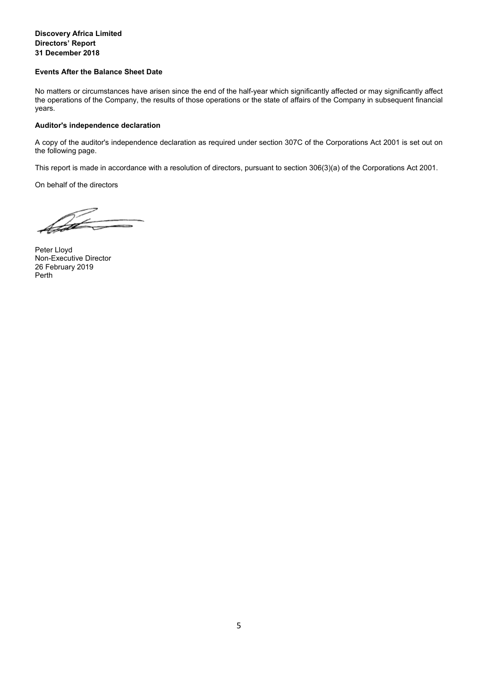## **Discovery Africa Limited Directors' Report 31 December 2018**

#### **Events After the Balance Sheet Date**

No matters or circumstances have arisen since the end of the half-year which significantly affected or may significantly affect the operations of the Company, the results of those operations or the state of affairs of the Company in subsequent financial years.

#### **Auditor's independence declaration**

A copy of the auditor's independence declaration as required under section 307C of the Corporations Act 2001 is set out on the following page.

This report is made in accordance with a resolution of directors, pursuant to section 306(3)(a) of the Corporations Act 2001.

On behalf of the directors

Peter Lloyd Non-Executive Director 26 February 2019 Perth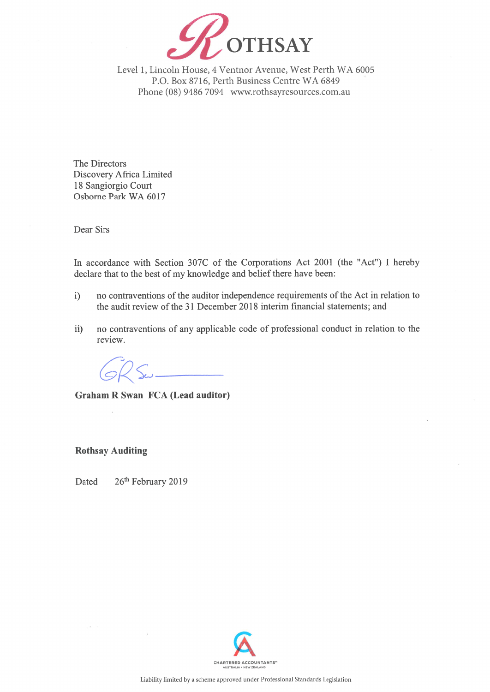

Level 1, Lincoln House, 4 Ventnor Avenue, West Perth WA 6005 P.O. Box 8716, Perth Business Centre WA 6849 Phone (08) 9486 7094 www.rothsayresources.com.au

The Directors Discovery Africa Limited 18 Sangiorgio Court Osborne Park WA 6017

Dear Sirs

In accordance with Section 307C of the Corporations Act 2001 (the "Act") I hereby declare that to the best of my knowledge and belief there have been:

- no contraventions of the auditor independence requirements of the Act in relation to  $i)$ the audit review of the 31 December 2018 interim financial statements; and
- no contraventions of any applicable code of professional conduct in relation to the  $ii)$ review.

**Graham R Swan FCA (Lead auditor)** 

**Rothsay Auditing** 

Dated 26th February 2019

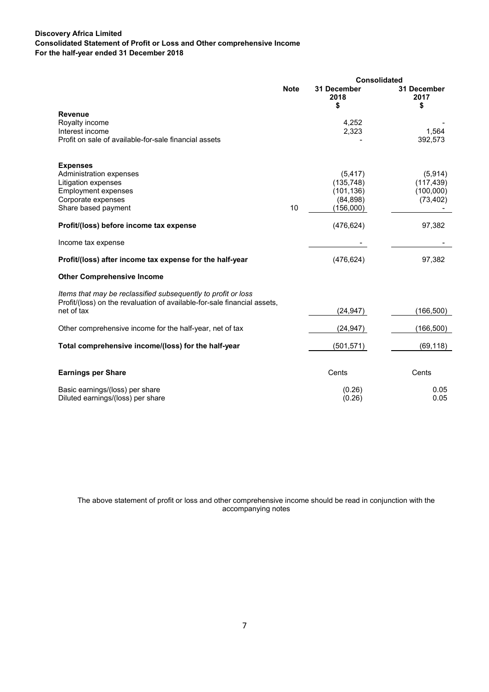## **Discovery Africa Limited Consolidated Statement of Profit or Loss and Other comprehensive Income For the half-year ended 31 December 2018**

|                                                                                                                                                         | Consolidated |                                                                |                                                 |
|---------------------------------------------------------------------------------------------------------------------------------------------------------|--------------|----------------------------------------------------------------|-------------------------------------------------|
|                                                                                                                                                         | <b>Note</b>  | 31 December<br>2018<br>\$                                      | 31 December<br>2017<br>\$                       |
| <b>Revenue</b><br>Royalty income<br>Interest income<br>Profit on sale of available-for-sale financial assets                                            |              | 4.252<br>2,323                                                 | 1,564<br>392,573                                |
| <b>Expenses</b><br>Administration expenses<br>Litigation expenses<br><b>Employment expenses</b><br>Corporate expenses<br>Share based payment            | 10           | (5, 417)<br>(135, 748)<br>(101, 136)<br>(84, 898)<br>(156,000) | (5,914)<br>(117, 439)<br>(100,000)<br>(73, 402) |
| Profit/(loss) before income tax expense                                                                                                                 |              | (476, 624)                                                     | 97,382                                          |
| Income tax expense                                                                                                                                      |              |                                                                |                                                 |
| Profit/(loss) after income tax expense for the half-year                                                                                                |              | (476, 624)                                                     | 97,382                                          |
| <b>Other Comprehensive Income</b>                                                                                                                       |              |                                                                |                                                 |
| Items that may be reclassified subsequently to profit or loss<br>Profit/(loss) on the revaluation of available-for-sale financial assets,<br>net of tax |              | (24, 947)                                                      | (166, 500)                                      |
|                                                                                                                                                         |              |                                                                |                                                 |
| Other comprehensive income for the half-year, net of tax                                                                                                |              | (24, 947)                                                      | (166, 500)                                      |
| Total comprehensive income/(loss) for the half-year                                                                                                     |              | (501, 571)                                                     | (69, 118)                                       |
| <b>Earnings per Share</b>                                                                                                                               |              | Cents                                                          | Cents                                           |
| Basic earnings/(loss) per share<br>Diluted earnings/(loss) per share                                                                                    |              | (0.26)<br>(0.26)                                               | 0.05<br>0.05                                    |

The above statement of profit or loss and other comprehensive income should be read in conjunction with the accompanying notes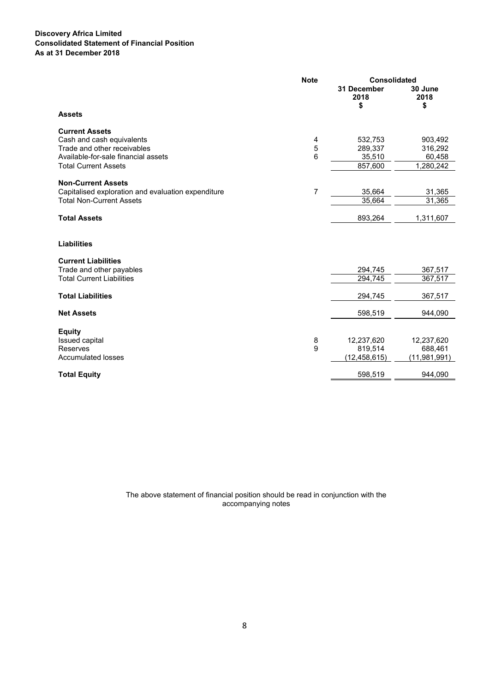## **Discovery Africa Limited Consolidated Statement of Financial Position As at 31 December 2018**

|                                                                                                                                                         | <b>Consolidated</b><br><b>Note</b> |                                         |                                           |
|---------------------------------------------------------------------------------------------------------------------------------------------------------|------------------------------------|-----------------------------------------|-------------------------------------------|
|                                                                                                                                                         |                                    | 31 December<br>2018<br>\$               | 30 June<br>2018<br>\$                     |
| <b>Assets</b>                                                                                                                                           |                                    |                                         |                                           |
| <b>Current Assets</b><br>Cash and cash equivalents<br>Trade and other receivables<br>Available-for-sale financial assets<br><b>Total Current Assets</b> | 4<br>5<br>6                        | 532,753<br>289,337<br>35,510<br>857,600 | 903,492<br>316,292<br>60,458<br>1,280,242 |
| <b>Non-Current Assets</b><br>Capitalised exploration and evaluation expenditure<br><b>Total Non-Current Assets</b>                                      | $\overline{7}$                     | 35,664<br>35,664                        | 31,365<br>31,365                          |
| <b>Total Assets</b>                                                                                                                                     |                                    | 893,264                                 | 1,311,607                                 |
| <b>Liabilities</b><br><b>Current Liabilities</b>                                                                                                        |                                    | 294,745                                 |                                           |
| Trade and other payables<br><b>Total Current Liabilities</b>                                                                                            |                                    | 294,745                                 | 367,517<br>367,517                        |
| <b>Total Liabilities</b>                                                                                                                                |                                    | 294,745                                 | 367,517                                   |
| <b>Net Assets</b>                                                                                                                                       |                                    | 598,519                                 | 944,090                                   |
| <b>Equity</b><br>Issued capital<br>Reserves<br><b>Accumulated losses</b>                                                                                | 8<br>9                             | 12,237,620<br>819,514<br>(12,458,615)   | 12,237,620<br>688,461<br>(11,981,991)     |
| <b>Total Equity</b>                                                                                                                                     |                                    | 598,519                                 | 944,090                                   |

The above statement of financial position should be read in conjunction with the accompanying notes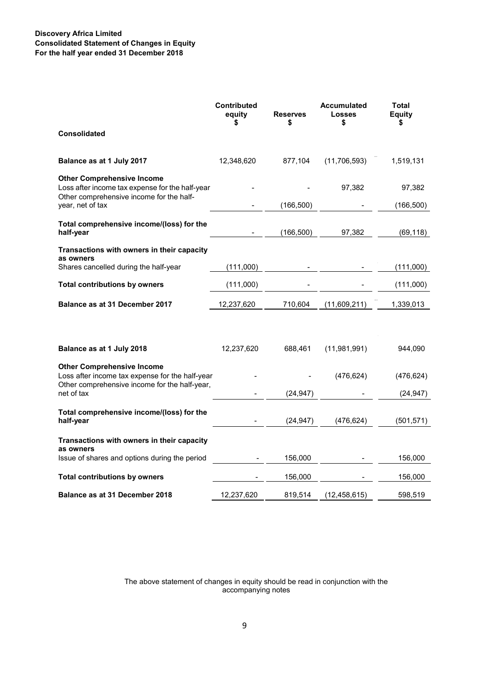## **Discovery Africa Limited Consolidated Statement of Changes in Equity For the half year ended 31 December 2018**

|                                                                                                                                       | <b>Contributed</b><br>equity | <b>Reserves</b><br>\$ | <b>Accumulated</b><br><b>Losses</b><br>\$ | <b>Total</b><br><b>Equity</b><br>\$ |
|---------------------------------------------------------------------------------------------------------------------------------------|------------------------------|-----------------------|-------------------------------------------|-------------------------------------|
| <b>Consolidated</b>                                                                                                                   |                              |                       |                                           |                                     |
| Balance as at 1 July 2017                                                                                                             | 12,348,620                   | 877,104               | (11,706,593)                              | 1,519,131                           |
| <b>Other Comprehensive Income</b><br>Loss after income tax expense for the half-year<br>Other comprehensive income for the half-      |                              |                       | 97,382                                    | 97,382                              |
| year, net of tax                                                                                                                      |                              | (166, 500)            |                                           | (166, 500)                          |
| Total comprehensive income/(loss) for the<br>half-year                                                                                |                              | (166, 500)            | 97,382                                    | (69, 118)                           |
| Transactions with owners in their capacity<br>as owners                                                                               |                              |                       |                                           |                                     |
| Shares cancelled during the half-year                                                                                                 | (111,000)                    |                       |                                           | (111,000)                           |
| <b>Total contributions by owners</b>                                                                                                  | (111,000)                    |                       |                                           | (111,000)                           |
| Balance as at 31 December 2017                                                                                                        | 12,237,620                   | 710,604               | (11,609,211)                              | 1,339,013                           |
|                                                                                                                                       |                              |                       |                                           |                                     |
| Balance as at 1 July 2018                                                                                                             | 12,237,620                   | 688,461               | (11,981,991)                              | 944,090                             |
| <b>Other Comprehensive Income</b><br>Loss after income tax expense for the half-year<br>Other comprehensive income for the half-year, |                              |                       | (476, 624)                                | (476, 624)                          |
| net of tax                                                                                                                            |                              | (24, 947)             |                                           | (24, 947)                           |
| Total comprehensive income/(loss) for the<br>half-year                                                                                |                              | (24, 947)             | (476, 624)                                | (501, 571)                          |
| Transactions with owners in their capacity<br>as owners                                                                               |                              |                       |                                           |                                     |
| Issue of shares and options during the period                                                                                         |                              | 156,000               |                                           | 156,000                             |
| <b>Total contributions by owners</b>                                                                                                  |                              | 156,000               |                                           | 156,000                             |
| <b>Balance as at 31 December 2018</b>                                                                                                 | 12,237,620                   | 819,514               | (12, 458, 615)                            | 598,519                             |

The above statement of changes in equity should be read in conjunction with the accompanying notes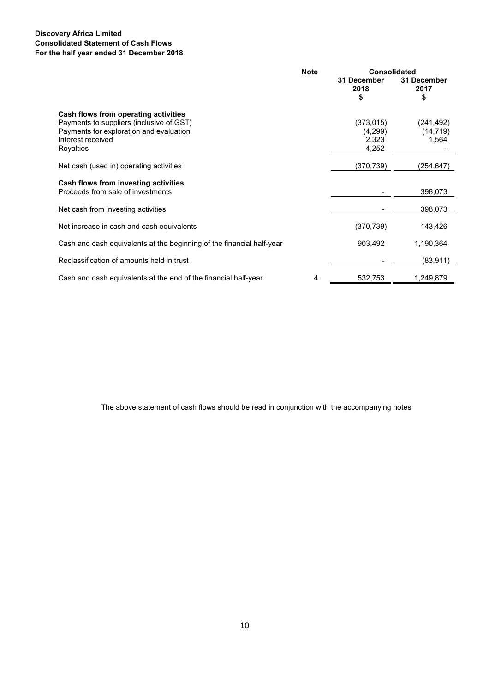## **Discovery Africa Limited Consolidated Statement of Cash Flows For the half year ended 31 December 2018**

|                                                                                                                                                               | <b>Note</b> | <b>Consolidated</b>                     |                                  |
|---------------------------------------------------------------------------------------------------------------------------------------------------------------|-------------|-----------------------------------------|----------------------------------|
|                                                                                                                                                               |             | 31 December<br>2018<br>\$               | 31 December<br>2017<br>\$        |
| Cash flows from operating activities<br>Payments to suppliers (inclusive of GST)<br>Payments for exploration and evaluation<br>Interest received<br>Royalties |             | (373, 015)<br>(4,299)<br>2,323<br>4,252 | (241, 492)<br>(14, 719)<br>1,564 |
| Net cash (used in) operating activities                                                                                                                       |             | (370, 739)                              | (254,647)                        |
| Cash flows from investing activities<br>Proceeds from sale of investments                                                                                     |             |                                         | 398,073                          |
| Net cash from investing activities                                                                                                                            |             |                                         | 398,073                          |
| Net increase in cash and cash equivalents                                                                                                                     |             | (370, 739)                              | 143,426                          |
| Cash and cash equivalents at the beginning of the financial half-year                                                                                         |             | 903,492                                 | 1,190,364                        |
| Reclassification of amounts held in trust                                                                                                                     |             |                                         | (83, 911)                        |
| Cash and cash equivalents at the end of the financial half-year                                                                                               | 4           | 532,753                                 | 1,249,879                        |

The above statement of cash flows should be read in conjunction with the accompanying notes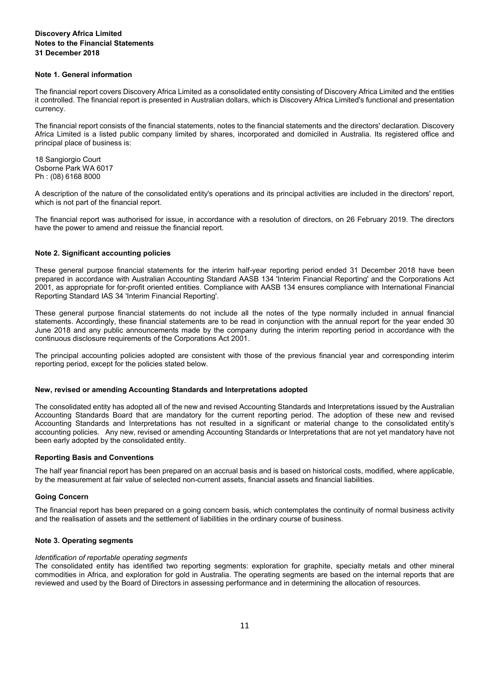## **Discovery Africa Limited Notes to the Financial Statements 31 December 2018**

#### **Note 1. General information**

The financial report covers Discovery Africa Limited as a consolidated entity consisting of Discovery Africa Limited and the entities it controlled. The financial report is presented in Australian dollars, which is Discovery Africa Limited's functional and presentation currency.

The financial report consists of the financial statements, notes to the financial statements and the directors' declaration. Discovery Africa Limited is a listed public company limited by shares, incorporated and domiciled in Australia. Its registered office and principal place of business is:

18 Sangiorgio Court Osborne Park WA 6017 Ph : (08) 6168 8000

A description of the nature of the consolidated entity's operations and its principal activities are included in the directors' report, which is not part of the financial report.

The financial report was authorised for issue, in accordance with a resolution of directors, on 26 February 2019. The directors have the power to amend and reissue the financial report.

#### **Note 2. Significant accounting policies**

These general purpose financial statements for the interim half-year reporting period ended 31 December 2018 have been prepared in accordance with Australian Accounting Standard AASB 134 'Interim Financial Reporting' and the Corporations Act 2001, as appropriate for for-profit oriented entities. Compliance with AASB 134 ensures compliance with International Financial Reporting Standard IAS 34 'Interim Financial Reporting'.

These general purpose financial statements do not include all the notes of the type normally included in annual financial statements. Accordingly, these financial statements are to be read in conjunction with the annual report for the year ended 30 June 2018 and any public announcements made by the company during the interim reporting period in accordance with the continuous disclosure requirements of the Corporations Act 2001.

The principal accounting policies adopted are consistent with those of the previous financial year and corresponding interim reporting period, except for the policies stated below.

#### **New, revised or amending Accounting Standards and Interpretations adopted**

The consolidated entity has adopted all of the new and revised Accounting Standards and Interpretations issued by the Australian Accounting Standards Board that are mandatory for the current reporting period. The adoption of these new and revised Accounting Standards and Interpretations has not resulted in a significant or material change to the consolidated entity's accounting policies. Any new, revised or amending Accounting Standards or Interpretations that are not yet mandatory have not been early adopted by the consolidated entity.

#### **Reporting Basis and Conventions**

The half year financial report has been prepared on an accrual basis and is based on historical costs, modified, where applicable, by the measurement at fair value of selected non-current assets, financial assets and financial liabilities.

#### **Going Concern**

The financial report has been prepared on a going concern basis, which contemplates the continuity of normal business activity and the realisation of assets and the settlement of liabilities in the ordinary course of business.

#### **Note 3. Operating segments**

#### *Identification of reportable operating segments*

The consolidated entity has identified two reporting segments: exploration for graphite, specialty metals and other mineral commodities in Africa, and exploration for gold in Australia. The operating segments are based on the internal reports that are reviewed and used by the Board of Directors in assessing performance and in determining the allocation of resources.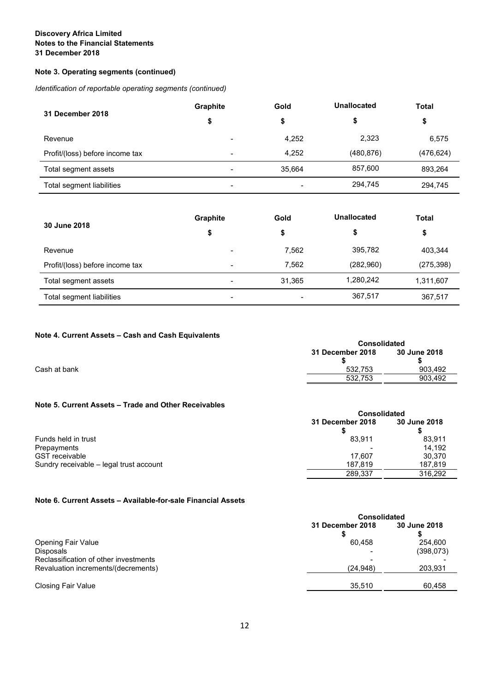## **Discovery Africa Limited Notes to the Financial Statements 31 December 2018**

## **Note 3. Operating segments (continued)**

*Identification of reportable operating segments (continued)* 

| 31 December 2018                | <b>Graphite</b>          | Gold   | Unallocated | Total      |
|---------------------------------|--------------------------|--------|-------------|------------|
|                                 | \$                       | \$     | \$          | \$         |
| Revenue                         | -                        | 4,252  | 2,323       | 6,575      |
| Profit/(loss) before income tax | $\overline{\phantom{0}}$ | 4,252  | (480, 876)  | (476, 624) |
| Total segment assets            | $\overline{\phantom{0}}$ | 35.664 | 857,600     | 893,264    |
| Total segment liabilities       | $\overline{\phantom{0}}$ |        | 294,745     | 294,745    |

| 30 June 2018                    | <b>Graphite</b>          | Gold   | Unallocated | <b>Total</b> |
|---------------------------------|--------------------------|--------|-------------|--------------|
|                                 | \$                       |        | \$          | \$           |
| Revenue                         |                          | 7,562  | 395,782     | 403,344      |
| Profit/(loss) before income tax | -                        | 7.562  | (282,960)   | (275, 398)   |
| Total segment assets            |                          | 31,365 | 1,280,242   | 1,311,607    |
| Total segment liabilities       | $\overline{\phantom{0}}$ |        | 367,517     | 367,517      |

## **Note 4. Current Assets – Cash and Cash Equivalents**

| $11010 + 120110111$ $1330013 - 00311011000011$ $130110110101113$ |                     |              |
|------------------------------------------------------------------|---------------------|--------------|
|                                                                  | <b>Consolidated</b> |              |
|                                                                  | 31 December 2018    | 30 June 2018 |
|                                                                  |                     |              |
| Cash at bank                                                     | 532.753             | 903.492      |
|                                                                  | 532.753             | 903.492      |
|                                                                  |                     |              |

## **Note 5. Current Assets – Trade and Other Receivables**

|                                         | <b>Consolidated</b> |              |  |
|-----------------------------------------|---------------------|--------------|--|
|                                         | 31 December 2018    | 30 June 2018 |  |
| Funds held in trust                     | 83.911              | 83.911       |  |
| Prepayments                             |                     | 14.192       |  |
| <b>GST</b> receivable                   | 17.607              | 30.370       |  |
| Sundry receivable – legal trust account | 187.819             | 187.819      |  |
|                                         | 289.337             | 316.292      |  |

## **Note 6. Current Assets – Available-for-sale Financial Assets**

|                                       | <b>Consolidated</b> |              |  |
|---------------------------------------|---------------------|--------------|--|
|                                       | 31 December 2018    | 30 June 2018 |  |
|                                       |                     |              |  |
| <b>Opening Fair Value</b>             | 60.458              | 254.600      |  |
| Disposals                             |                     | (398,073)    |  |
| Reclassification of other investments |                     |              |  |
| Revaluation increments/(decrements)   | (24, 948)           | 203,931      |  |
|                                       |                     |              |  |
| <b>Closing Fair Value</b>             | 35.510              | 60.458       |  |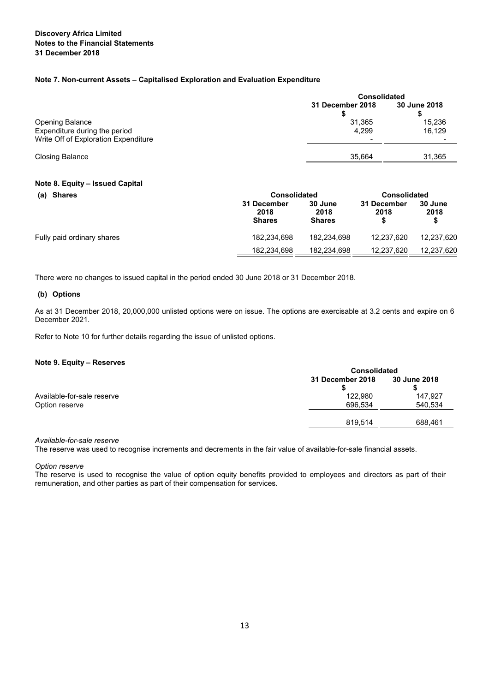#### **Note 7. Non-current Assets – Capitalised Exploration and Evaluation Expenditure**

|                                                         | <b>Consolidated</b>     |                  |  |
|---------------------------------------------------------|-------------------------|------------------|--|
|                                                         | <b>31 December 2018</b> | 30 June 2018     |  |
| <b>Opening Balance</b><br>Expenditure during the period | 31.365<br>4,299         | 15,236<br>16,129 |  |
| Write Off of Exploration Expenditure                    |                         |                  |  |
| <b>Closing Balance</b>                                  | 35.664                  | 31,365           |  |

## **Note 8. Equity – Issued Capital**

| (a) Shares                 | <b>Consolidated</b>                  |                                  | <b>Consolidated</b> |                 |
|----------------------------|--------------------------------------|----------------------------------|---------------------|-----------------|
|                            | 31 December<br>2018<br><b>Shares</b> | 30 June<br>2018<br><b>Shares</b> | 31 December<br>2018 | 30 June<br>2018 |
| Fully paid ordinary shares | 182.234.698                          | 182,234,698                      | 12,237,620          | 12,237,620      |
|                            | 182,234,698                          | 182,234,698                      | 12,237,620          | 12,237,620      |

There were no changes to issued capital in the period ended 30 June 2018 or 31 December 2018.

#### **(b) Options**

As at 31 December 2018, 20,000,000 unlisted options were on issue. The options are exercisable at 3.2 cents and expire on 6 December 2021.

Refer to Note 10 for further details regarding the issue of unlisted options.

#### **Note 9. Equity – Reserves**

|                                              | <b>Consolidated</b>     |                    |  |
|----------------------------------------------|-------------------------|--------------------|--|
|                                              | <b>31 December 2018</b> | 30 June 2018       |  |
| Available-for-sale reserve<br>Option reserve | 122.980<br>696.534      | 147,927<br>540,534 |  |
|                                              | 819.514                 | 688.461            |  |

*Available-for-sale reserve* 

The reserve was used to recognise increments and decrements in the fair value of available-for-sale financial assets.

*Option reserve* 

The reserve is used to recognise the value of option equity benefits provided to employees and directors as part of their remuneration, and other parties as part of their compensation for services.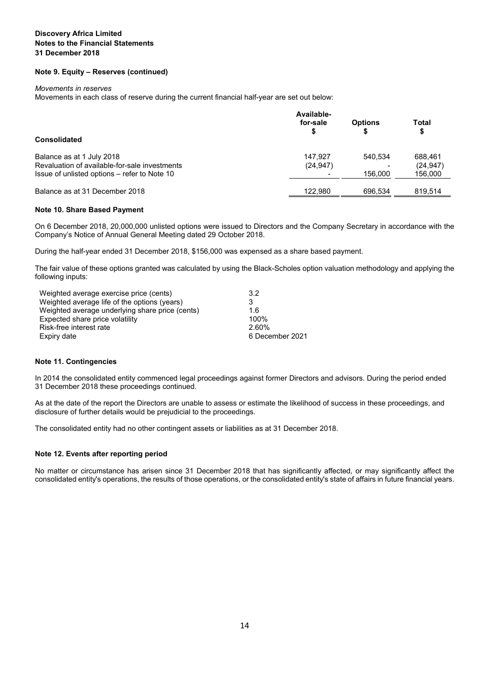## **Discovery Africa Limited Notes to the Financial Statements 31 December 2018**

### **Note 9. Equity – Reserves (continued)**

#### *Movements in reserves*

Movements in each class of reserve during the current financial half-year are set out below:

|                                               | Available- |                |             |
|-----------------------------------------------|------------|----------------|-------------|
|                                               | for-sale   | <b>Options</b> | Total<br>\$ |
| <b>Consolidated</b>                           |            |                |             |
| Balance as at 1 July 2018                     | 147.927    | 540.534        | 688.461     |
| Revaluation of available-for-sale investments | (24, 947)  |                | (24, 947)   |
| Issue of unlisted options – refer to Note 10  |            | 156,000        | 156,000     |
|                                               |            |                |             |
| Balance as at 31 December 2018                | 122.980    | 696.534        | 819.514     |

#### **Note 10. Share Based Payment**

On 6 December 2018, 20,000,000 unlisted options were issued to Directors and the Company Secretary in accordance with the Company's Notice of Annual General Meeting dated 29 October 2018.

During the half-year ended 31 December 2018, \$156,000 was expensed as a share based payment.

The fair value of these options granted was calculated by using the Black-Scholes option valuation methodology and applying the following inputs:

| Weighted average exercise price (cents)         | 3.2             |
|-------------------------------------------------|-----------------|
| Weighted average life of the options (years)    |                 |
| Weighted average underlying share price (cents) | 1.6             |
| Expected share price volatility                 | 100%            |
| Risk-free interest rate                         | 2.60%           |
| Expiry date                                     | 6 December 2021 |
|                                                 |                 |

#### **Note 11. Contingencies**

In 2014 the consolidated entity commenced legal proceedings against former Directors and advisors. During the period ended 31 December 2018 these proceedings continued.

As at the date of the report the Directors are unable to assess or estimate the likelihood of success in these proceedings, and disclosure of further details would be prejudicial to the proceedings.

The consolidated entity had no other contingent assets or liabilities as at 31 December 2018.

#### **Note 12. Events after reporting period**

No matter or circumstance has arisen since 31 December 2018 that has significantly affected, or may significantly affect the consolidated entity's operations, the results of those operations, or the consolidated entity's state of affairs in future financial years.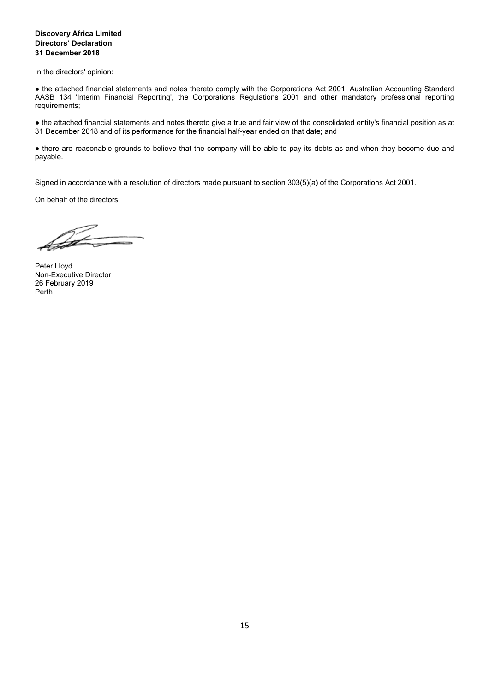## **Discovery Africa Limited Directors' Declaration 31 December 2018**

In the directors' opinion:

● the attached financial statements and notes thereto comply with the Corporations Act 2001, Australian Accounting Standard AASB 134 'Interim Financial Reporting', the Corporations Regulations 2001 and other mandatory professional reporting requirements;

● the attached financial statements and notes thereto give a true and fair view of the consolidated entity's financial position as at 31 December 2018 and of its performance for the financial half-year ended on that date; and

● there are reasonable grounds to believe that the company will be able to pay its debts as and when they become due and payable.

Signed in accordance with a resolution of directors made pursuant to section 303(5)(a) of the Corporations Act 2001.

On behalf of the directors

Íá

Peter Lloyd Non-Executive Director 26 February 2019 Perth